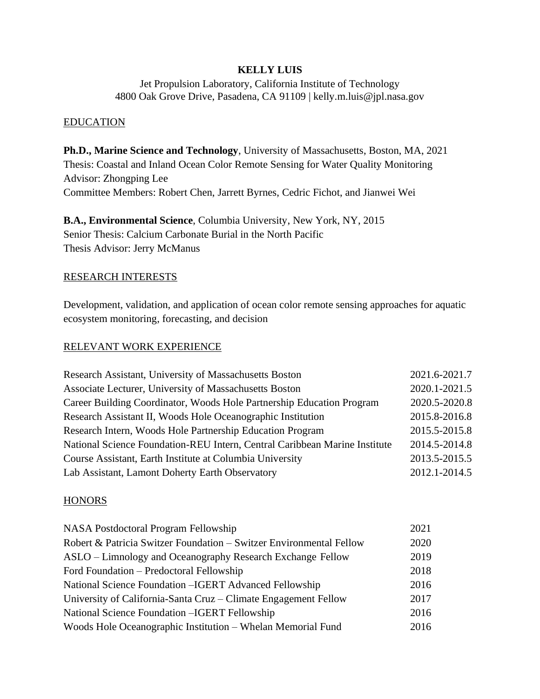### **KELLY LUIS**

Jet Propulsion Laboratory, California Institute of Technology 4800 Oak Grove Drive, Pasadena, CA 91109 | kelly.m.luis@jpl.nasa.gov

### EDUCATION

**Ph.D., Marine Science and Technology**, University of Massachusetts, Boston, MA, 2021 Thesis: Coastal and Inland Ocean Color Remote Sensing for Water Quality Monitoring Advisor: Zhongping Lee Committee Members: Robert Chen, Jarrett Byrnes, Cedric Fichot, and Jianwei Wei

**B.A., Environmental Science**, Columbia University, New York, NY, 2015 Senior Thesis: Calcium Carbonate Burial in the North Pacific Thesis Advisor: Jerry McManus

# RESEARCH INTERESTS

Development, validation, and application of ocean color remote sensing approaches for aquatic ecosystem monitoring, forecasting, and decision

### RELEVANT WORK EXPERIENCE

| Research Assistant, University of Massachusetts Boston                     | 2021.6-2021.7 |
|----------------------------------------------------------------------------|---------------|
| Associate Lecturer, University of Massachusetts Boston                     | 2020.1-2021.5 |
| Career Building Coordinator, Woods Hole Partnership Education Program      | 2020.5-2020.8 |
| Research Assistant II, Woods Hole Oceanographic Institution                | 2015.8-2016.8 |
| Research Intern, Woods Hole Partnership Education Program                  | 2015.5-2015.8 |
| National Science Foundation-REU Intern, Central Caribbean Marine Institute | 2014.5-2014.8 |
| Course Assistant, Earth Institute at Columbia University                   | 2013.5-2015.5 |
| Lab Assistant, Lamont Doherty Earth Observatory                            | 2012.1-2014.5 |

### **HONORS**

| NASA Postdoctoral Program Fellowship                                | 2021 |
|---------------------------------------------------------------------|------|
| Robert & Patricia Switzer Foundation – Switzer Environmental Fellow | 2020 |
| ASLO – Limnology and Oceanography Research Exchange Fellow          | 2019 |
| Ford Foundation – Predoctoral Fellowship                            | 2018 |
| National Science Foundation - IGERT Advanced Fellowship             | 2016 |
| University of California-Santa Cruz – Climate Engagement Fellow     | 2017 |
| National Science Foundation - IGERT Fellowship                      | 2016 |
| Woods Hole Oceanographic Institution – Whelan Memorial Fund         | 2016 |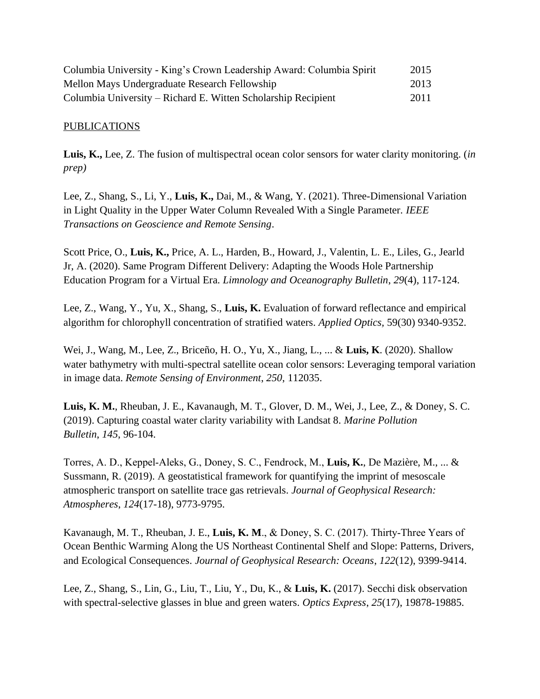| Columbia University - King's Crown Leadership Award: Columbia Spirit | 2015 |
|----------------------------------------------------------------------|------|
| Mellon Mays Undergraduate Research Fellowship                        | 2013 |
| Columbia University – Richard E. Witten Scholarship Recipient        | 2011 |

### PUBLICATIONS

**Luis, K.,** Lee, Z. The fusion of multispectral ocean color sensors for water clarity monitoring. (*in prep)*

Lee, Z., Shang, S., Li, Y., **Luis, K.,** Dai, M., & Wang, Y. (2021). Three-Dimensional Variation in Light Quality in the Upper Water Column Revealed With a Single Parameter. *IEEE Transactions on Geoscience and Remote Sensing*.

Scott Price, O., **Luis, K.,** Price, A. L., Harden, B., Howard, J., Valentin, L. E., Liles, G., Jearld Jr, A. (2020). Same Program Different Delivery: Adapting the Woods Hole Partnership Education Program for a Virtual Era. *Limnology and Oceanography Bulletin*, *29*(4), 117-124.

Lee, Z., Wang, Y., Yu, X., Shang, S., **Luis, K.** Evaluation of forward reflectance and empirical algorithm for chlorophyll concentration of stratified waters. *Applied Optics,* 59(30) 9340-9352.

Wei, J., Wang, M., Lee, Z., Briceño, H. O., Yu, X., Jiang, L., ... & **Luis, K**. (2020). Shallow water bathymetry with multi-spectral satellite ocean color sensors: Leveraging temporal variation in image data. *Remote Sensing of Environment*, *250*, 112035.

**Luis, K. M.**, Rheuban, J. E., Kavanaugh, M. T., Glover, D. M., Wei, J., Lee, Z., & Doney, S. C. (2019). Capturing coastal water clarity variability with Landsat 8. *Marine Pollution Bulletin*, *145*, 96-104.

Torres, A. D., Keppel‐Aleks, G., Doney, S. C., Fendrock, M., **Luis, K.**, De Mazière, M., ... & Sussmann, R. (2019). A geostatistical framework for quantifying the imprint of mesoscale atmospheric transport on satellite trace gas retrievals. *Journal of Geophysical Research: Atmospheres*, *124*(17-18), 9773-9795.

Kavanaugh, M. T., Rheuban, J. E., **Luis, K. M**., & Doney, S. C. (2017). Thirty‐Three Years of Ocean Benthic Warming Along the US Northeast Continental Shelf and Slope: Patterns, Drivers, and Ecological Consequences. *Journal of Geophysical Research: Oceans*, *122*(12), 9399-9414.

Lee, Z., Shang, S., Lin, G., Liu, T., Liu, Y., Du, K., & **Luis, K.** (2017). Secchi disk observation with spectral-selective glasses in blue and green waters. *Optics Express*, *25*(17), 19878-19885.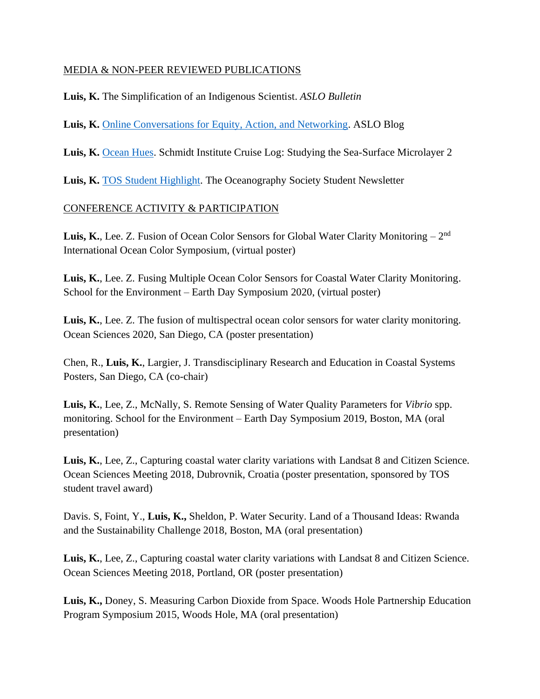## MEDIA & NON-PEER REVIEWED PUBLICATIONS

**Luis, K.** The Simplification of an Indigenous Scientist. *ASLO Bulletin*

**Luis, K.** Online Conversations for [Equity, Action, and Networking.](https://www.aslo.org/online-conversations-for-equity-action-and-networking-in-marine-sciences-ocean/) ASLO Blog

**Luis, K.** [Ocean Hues.](https://schmidtocean.org/cruise-log-post/ocean-hues/) Schmidt Institute Cruise Log: Studying the Sea-Surface Microlayer 2

Luis, K. [TOS Student Highlight.](https://tos.org/pdfs/ocean_news_25.pdf) The Oceanography Society Student Newsletter

### CONFERENCE ACTIVITY & PARTICIPATION

Luis, K., Lee. Z. Fusion of Ocean Color Sensors for Global Water Clarity Monitoring - 2<sup>nd</sup> International Ocean Color Symposium, (virtual poster)

**Luis, K.**, Lee. Z. Fusing Multiple Ocean Color Sensors for Coastal Water Clarity Monitoring. School for the Environment – Earth Day Symposium 2020, (virtual poster)

**Luis, K.**, Lee. Z. The fusion of multispectral ocean color sensors for water clarity monitoring. Ocean Sciences 2020, San Diego, CA (poster presentation)

Chen, R., **Luis, K.**, Largier, J. Transdisciplinary Research and Education in Coastal Systems Posters, San Diego, CA (co-chair)

**Luis, K.**, Lee, Z., McNally, S. Remote Sensing of Water Quality Parameters for *Vibrio* spp. monitoring. School for the Environment – Earth Day Symposium 2019, Boston, MA (oral presentation)

Luis, K., Lee, Z., Capturing coastal water clarity variations with Landsat 8 and Citizen Science. Ocean Sciences Meeting 2018, Dubrovnik, Croatia (poster presentation, sponsored by TOS student travel award)

Davis. S, Foint, Y., **Luis, K.,** Sheldon, P. Water Security. Land of a Thousand Ideas: Rwanda and the Sustainability Challenge 2018, Boston, MA (oral presentation)

**Luis, K.**, Lee, Z., Capturing coastal water clarity variations with Landsat 8 and Citizen Science. Ocean Sciences Meeting 2018, Portland, OR (poster presentation)

**Luis, K.,** Doney, S. Measuring Carbon Dioxide from Space. Woods Hole Partnership Education Program Symposium 2015, Woods Hole, MA (oral presentation)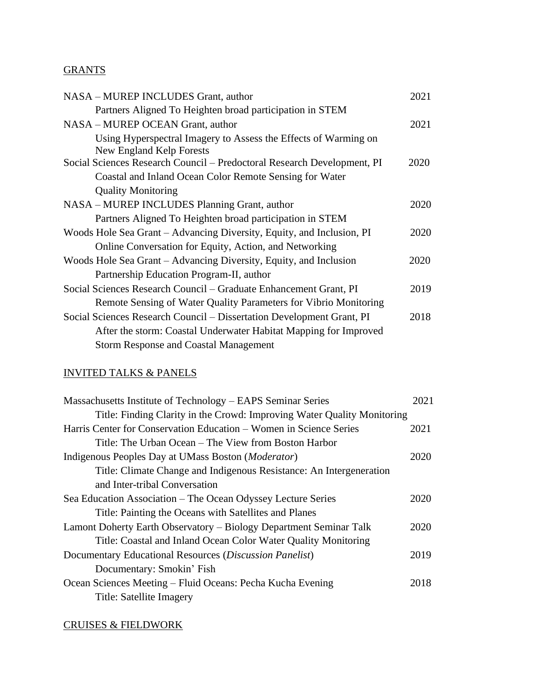# **GRANTS**

| NASA - MUREP INCLUDES Grant, author                                                                                                                                                       | 2021 |
|-------------------------------------------------------------------------------------------------------------------------------------------------------------------------------------------|------|
| Partners Aligned To Heighten broad participation in STEM                                                                                                                                  |      |
| NASA – MUREP OCEAN Grant, author                                                                                                                                                          | 2021 |
| Using Hyperspectral Imagery to Assess the Effects of Warming on<br>New England Kelp Forests                                                                                               |      |
| Social Sciences Research Council - Predoctoral Research Development, PI                                                                                                                   | 2020 |
| Coastal and Inland Ocean Color Remote Sensing for Water                                                                                                                                   |      |
| <b>Quality Monitoring</b>                                                                                                                                                                 |      |
| NASA - MUREP INCLUDES Planning Grant, author                                                                                                                                              | 2020 |
| Partners Aligned To Heighten broad participation in STEM                                                                                                                                  |      |
| Woods Hole Sea Grant - Advancing Diversity, Equity, and Inclusion, PI                                                                                                                     | 2020 |
| Online Conversation for Equity, Action, and Networking                                                                                                                                    |      |
| Woods Hole Sea Grant – Advancing Diversity, Equity, and Inclusion                                                                                                                         | 2020 |
| Partnership Education Program-II, author                                                                                                                                                  |      |
| Social Sciences Research Council – Graduate Enhancement Grant, PI                                                                                                                         | 2019 |
| Remote Sensing of Water Quality Parameters for Vibrio Monitoring                                                                                                                          |      |
| Social Sciences Research Council – Dissertation Development Grant, PI<br>After the storm: Coastal Underwater Habitat Mapping for Improved<br><b>Storm Response and Coastal Management</b> | 2018 |
|                                                                                                                                                                                           |      |

# INVITED TALKS & PANELS

| Massachusetts Institute of Technology – EAPS Seminar Series             | 2021 |
|-------------------------------------------------------------------------|------|
| Title: Finding Clarity in the Crowd: Improving Water Quality Monitoring |      |
| Harris Center for Conservation Education – Women in Science Series      | 2021 |
| Title: The Urban Ocean – The View from Boston Harbor                    |      |
| Indigenous Peoples Day at UMass Boston ( <i>Moderator</i> )             | 2020 |
| Title: Climate Change and Indigenous Resistance: An Intergeneration     |      |
| and Inter-tribal Conversation                                           |      |
| Sea Education Association – The Ocean Odyssey Lecture Series            | 2020 |
| Title: Painting the Oceans with Satellites and Planes                   |      |
| Lamont Doherty Earth Observatory – Biology Department Seminar Talk      | 2020 |
| Title: Coastal and Inland Ocean Color Water Quality Monitoring          |      |
| Documentary Educational Resources (Discussion Panelist)                 | 2019 |
| Documentary: Smokin' Fish                                               |      |
| Ocean Sciences Meeting - Fluid Oceans: Pecha Kucha Evening              | 2018 |
| Title: Satellite Imagery                                                |      |
|                                                                         |      |

# CRUISES & FIELDWORK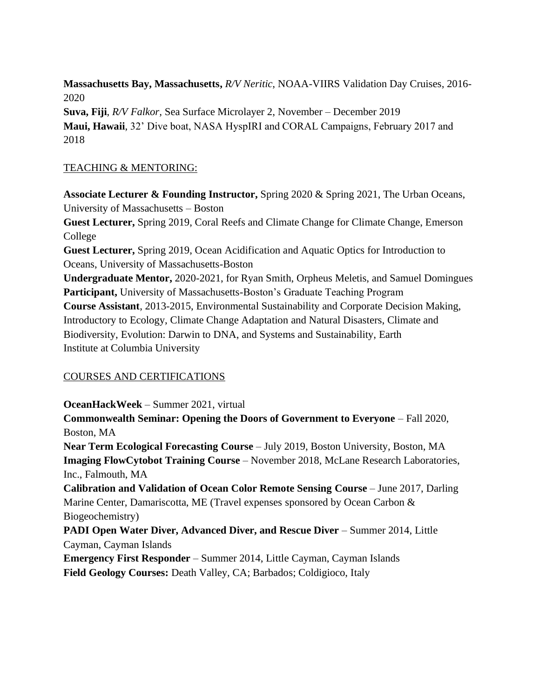**Massachusetts Bay, Massachusetts,** *R/V Neritic*, NOAA-VIIRS Validation Day Cruises, 2016- 2020

**Suva, Fiji**, *R/V Falkor,* Sea Surface Microlayer 2, November – December 2019 **Maui, Hawaii**, 32' Dive boat, NASA HyspIRI and CORAL Campaigns, February 2017 and 2018

# TEACHING & MENTORING:

**Associate Lecturer & Founding Instructor,** Spring 2020 & Spring 2021, The Urban Oceans, University of Massachusetts – Boston **Guest Lecturer,** Spring 2019, Coral Reefs and Climate Change for Climate Change, Emerson College **Guest Lecturer,** Spring 2019, Ocean Acidification and Aquatic Optics for Introduction to Oceans, University of Massachusetts-Boston **Undergraduate Mentor,** 2020-2021, for Ryan Smith, Orpheus Meletis, and Samuel Domingues **Participant,** University of Massachusetts-Boston's Graduate Teaching Program **Course Assistant**, 2013-2015, Environmental Sustainability and Corporate Decision Making, Introductory to Ecology, Climate Change Adaptation and Natural Disasters, Climate and Biodiversity, Evolution: Darwin to DNA, and Systems and Sustainability, Earth Institute at Columbia University

## COURSES AND CERTIFICATIONS

**OceanHackWeek** – Summer 2021, virtual

**Commonwealth Seminar: Opening the Doors of Government to Everyone** – Fall 2020, Boston, MA **Near Term Ecological Forecasting Course** – July 2019, Boston University, Boston, MA **Imaging FlowCytobot Training Course** – November 2018, McLane Research Laboratories, Inc., Falmouth, MA **Calibration and Validation of Ocean Color Remote Sensing Course** – June 2017, Darling Marine Center, Damariscotta, ME (Travel expenses sponsored by Ocean Carbon & Biogeochemistry) **PADI Open Water Diver, Advanced Diver, and Rescue Diver** – Summer 2014, Little Cayman, Cayman Islands **Emergency First Responder** – Summer 2014, Little Cayman, Cayman Islands

**Field Geology Courses:** Death Valley, CA; Barbados; Coldigioco, Italy